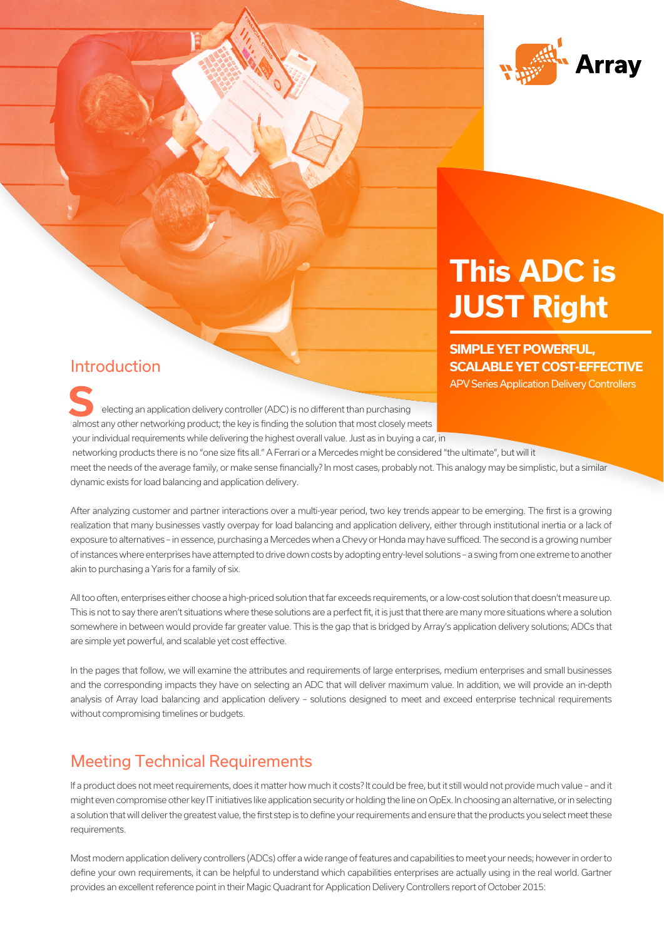

# **Achieving Visibility, Versatility and This ADC is JUST Right**

**SIMPLE YET POWERFUL, SCALABLE YET COST-EFFECTIVE** APV Series Application Delivery Controllers

Introduction

electing an application delivery controller (ADC) is no different than purchasing almost any other networking product; the key is finding the solution that most closely meets your individual requirements while delivering the highest overall value. Just as in buying a car, in **SERIES Application Delivery Controller (ADC) is no different than purchasing<br>
electing an application delivery controller (ADC) is no different than purchasing<br>
almost any other potential in a purchasing** 

 networking products there is no "one size fits all." A Ferrari or a Mercedes might be considered "the ultimate", but will it meet the needs of the average family, or make sense financially? In most cases, probably not. This analogy may be simplistic, but a similar dynamic exists for load balancing and application delivery.

After analyzing customer and partner interactions over a multi-year period, two key trends appear to be emerging. The first is a growing realization that many businesses vastly overpay for load balancing and application delivery, either through institutional inertia or a lack of exposure to alternatives – in essence, purchasing a Mercedes when a Chevy or Honda may have sufficed. The second is a growing number of instances where enterprises have attempted to drive down costs by adopting entry-level solutions – a swing from one extreme to another akin to purchasing a Yaris for a family of six.

All too often, enterprises either choose a high-priced solution that far exceeds requirements, or a low-cost solution that doesn't measure up. This is not to say there aren't situations where these solutions are a perfect fit, it is just that there are many more situations where a solution somewhere in between would provide far greater value. This is the gap that is bridged by Array's application delivery solutions; ADCs that are simple yet powerful, and scalable yet cost effective.

In the pages that follow, we will examine the attributes and requirements of large enterprises, medium enterprises and small businesses and the corresponding impacts they have on selecting an ADC that will deliver maximum value. In addition, we will provide an in-depth analysis of Array load balancing and application delivery – solutions designed to meet and exceed enterprise technical requirements without compromising timelines or budgets.

## Meeting Technical Requirements

If a product does not meet requirements, does it matter how much it costs? It could be free, but it still would not provide much value – and it might even compromise other key IT initiatives like application security or holding the line on OpEx. In choosing an alternative, or in selecting a solution that will deliver the greatest value, the first step is to define your requirements and ensure that the products you select meet these requirements.

Most modern application delivery controllers (ADCs) offer a wide range of features and capabilities to meet your needs; however in order to define your own requirements, it can be helpful to understand which capabilities enterprises are actually using in the real world. Gartner provides an excellent reference point in their Magic Quadrant for Application Delivery Controllers report of October 2015: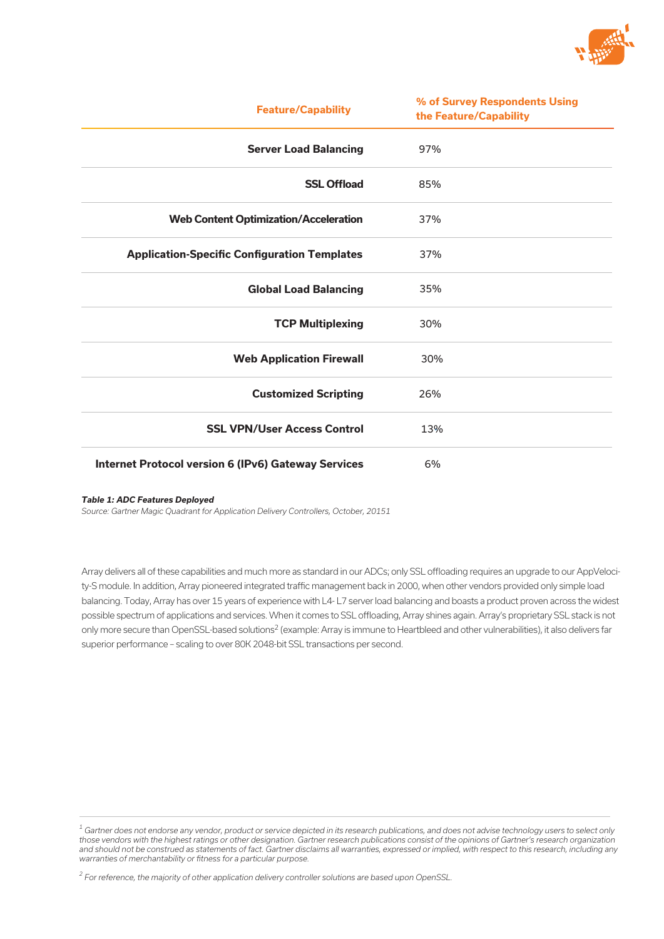

| <b>Feature/Capability</b>                                  | % of Survey Respondents Using<br>the Feature/Capability |
|------------------------------------------------------------|---------------------------------------------------------|
| <b>Server Load Balancing</b>                               | 97%                                                     |
| <b>SSL Offload</b>                                         | 85%                                                     |
| <b>Web Content Optimization/Acceleration</b>               | 37%                                                     |
| <b>Application-Specific Configuration Templates</b>        | 37%                                                     |
| <b>Global Load Balancing</b>                               | 35%                                                     |
| <b>TCP Multiplexing</b>                                    | 30%                                                     |
| <b>Web Application Firewall</b>                            | 30%                                                     |
| <b>Customized Scripting</b>                                | 26%                                                     |
| <b>SSL VPN/User Access Control</b>                         | 13%                                                     |
| <b>Internet Protocol version 6 (IPv6) Gateway Services</b> | 6%                                                      |

#### *Table 1: ADC Features Deployed*

*Source: Gartner Magic Quadrant for Application Delivery Controllers, October, 20151*

Array delivers all of these capabilities and much more as standard in our ADCs; only SSL offloading requires an upgrade to our AppVelocity-S module. In addition, Array pioneered integrated traffic management back in 2000, when other vendors provided only simple load balancing. Today, Array has over 15 years of experience with L4- L7 server load balancing and boasts a product proven across the widest possible spectrum of applications and services. When it comes to SSL offloading, Array shines again. Array's proprietary SSL stack is not only more secure than OpenSSL-based solutions2 (example: Array is immune to Heartbleed and other vulnerabilities), it also delivers far superior performance – scaling to over 80K 2048-bit SSL transactions per second.

*<sup>1</sup> Gartner does not endorse any vendor, product or service depicted in its research publications, and does not advise technology users to select only those vendors with the highest ratings or other designation. Gartner research publications consist of the opinions of Gartner's research organization and should not be construed as statements of fact. Gartner disclaims all warranties, expressed or implied, with respect to this research, including any warranties of merchantability or fitness for a particular purpose.* 

*<sup>2</sup> For reference, the majority of other application delivery controller solutions are based upon OpenSSL.*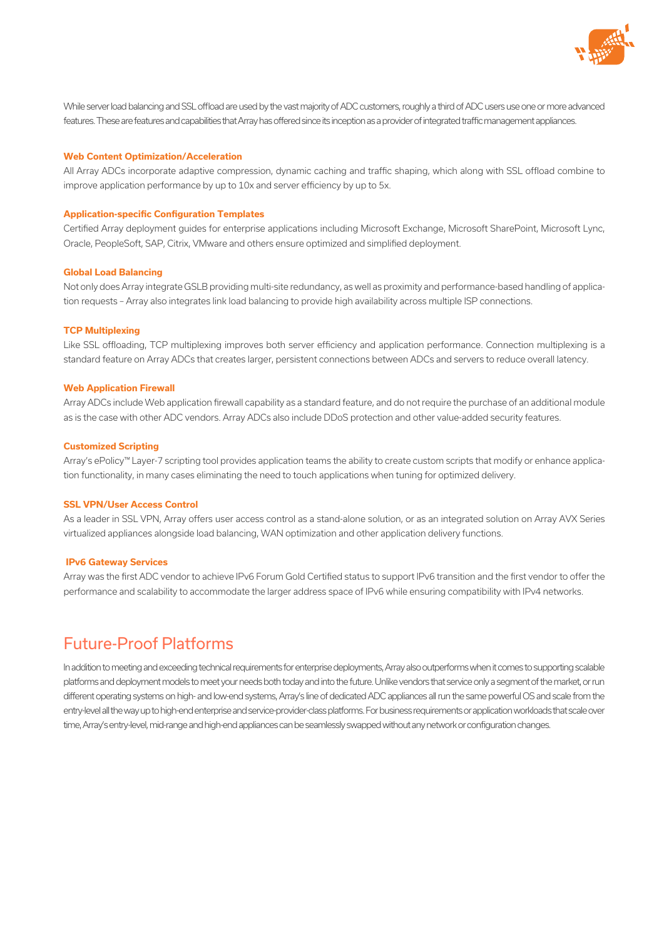

While server load balancing and SSL offload are used by the vast majority of ADC customers, roughly a third of ADC users use one or more advanced features. These are features and capabilities that Array has offered since its inception as a provider of integrated traffic management appliances.

#### **Web Content Optimization/Acceleration**

All Array ADCs incorporate adaptive compression, dynamic caching and traffic shaping, which along with SSL offload combine to improve application performance by up to 10x and server efficiency by up to 5x.

#### **Application-specific Configuration Templates**

Certified Array deployment guides for enterprise applications including Microsoft Exchange, Microsoft SharePoint, Microsoft Lync, Oracle, PeopleSoft, SAP, Citrix, VMware and others ensure optimized and simplified deployment.

#### **Global Load Balancing**

Not only does Array integrate GSLB providing multi-site redundancy, as well as proximity and performance-based handling of application requests – Array also integrates link load balancing to provide high availability across multiple ISP connections.

#### **TCP Multiplexing**

Like SSL offloading, TCP multiplexing improves both server efficiency and application performance. Connection multiplexing is a standard feature on Array ADCs that creates larger, persistent connections between ADCs and servers to reduce overall latency.

#### **Web Application Firewall**

Array ADCs include Web application firewall capability as a standard feature, and do not require the purchase of an additional module as is the case with other ADC vendors. Array ADCs also include DDoS protection and other value-added security features.

#### **Customized Scripting**

Array's ePolicy™ Layer-7 scripting tool provides application teams the ability to create custom scripts that modify or enhance application functionality, in many cases eliminating the need to touch applications when tuning for optimized delivery.

#### **SSL VPN/User Access Control**

As a leader in SSL VPN, Array offers user access control as a stand-alone solution, or as an integrated solution on Array AVX Series virtualized appliances alongside load balancing, WAN optimization and other application delivery functions.

#### **IPv6 Gateway Services**

Array was the first ADC vendor to achieve IPv6 Forum Gold Certified status to support IPv6 transition and the first vendor to offer the performance and scalability to accommodate the larger address space of IPv6 while ensuring compatibility with IPv4 networks.

### Future-Proof Platforms

In addition to meeting and exceeding technical requirements for enterprise deployments, Array also outperforms when it comes to supporting scalable platforms and deployment models to meet your needs both today and into the future. Unlike vendors that service only a segment of the market, or run different operating systems on high- and low-end systems, Array's line of dedicated ADC appliances all run the same powerful OS and scale from the entry-level all the way up to high-end enterprise and service-provider-class platforms. For business requirements or application workloads that scale over time, Array's entry-level, mid-range and high-end appliances can be seamlessly swapped without any network or configuration changes.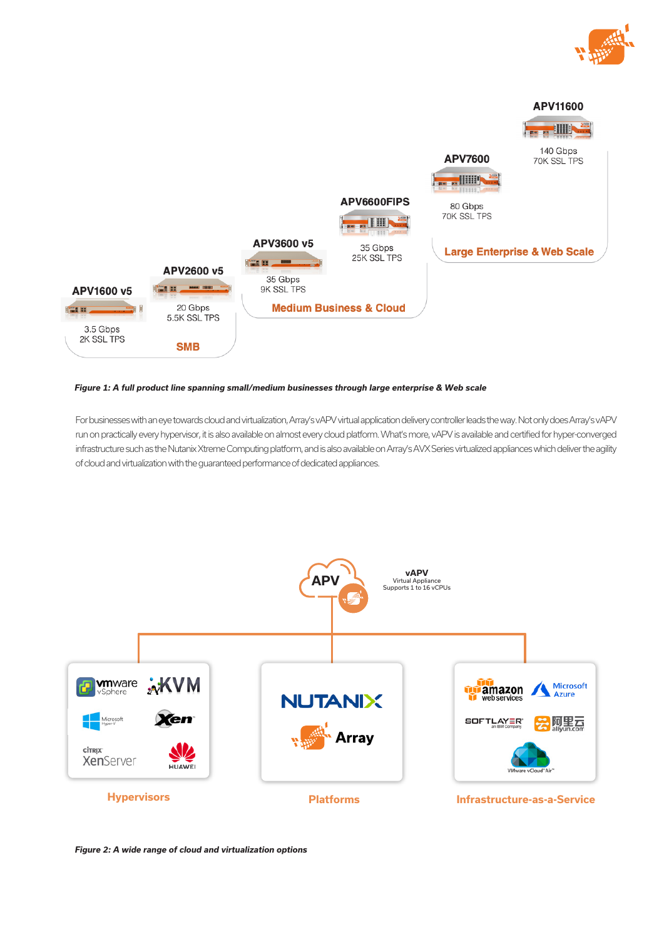



#### *Figure 1: A full product line spanning small/medium businesses through large enterprise & Web scale*

For businesses with an eye towards cloud and virtualization, Array's vAPV virtual application delivery controller leads the way. Not only does Array's vAPV run on practically every hypervisor, it is also available on almost every cloud platform. What's more, vAPV is available and certified for hyper-converged infrastructure such as the Nutanix Xtreme Computing platform, and is also available on Array's AVX Series virtualized appliances which deliver the agility of cloud and virtualization with the guaranteed performance of dedicated appliances.



*Figure 2: A wide range of cloud and virtualization options*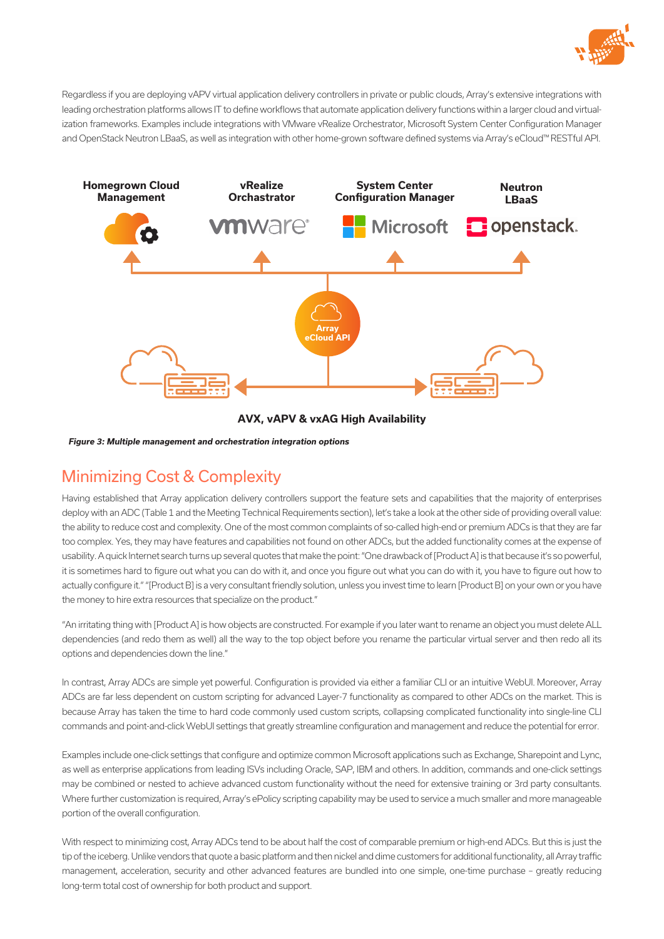

Regardless if you are deploying vAPV virtual application delivery controllers in private or public clouds, Array's extensive integrations with leading orchestration platforms allows IT to define workflows that automate application delivery functions within a larger cloud and virtualization frameworks. Examples include integrations with VMware vRealize Orchestrator, Microsoft System Center Configuration Manager and OpenStack Neutron LBaaS, as well as integration with other home-grown software defined systems via Array's eCloud™ RESTful API.



**AVX, vAPV & vxAG High Availability**

*Figure 3: Multiple management and orchestration integration options*

### Minimizing Cost & Complexity

Having established that Array application delivery controllers support the feature sets and capabilities that the majority of enterprises deploy with an ADC (Table 1 and the Meeting Technical Requirements section), let's take a look at the other side of providing overall value: the ability to reduce cost and complexity. One of the most common complaints of so-called high-end or premium ADCs is that they are far too complex. Yes, they may have features and capabilities not found on other ADCs, but the added functionality comes at the expense of usability. A quick Internet search turns up several quotes that make the point: "One drawback of [Product A] is that because it's so powerful, it is sometimes hard to figure out what you can do with it, and once you figure out what you can do with it, you have to figure out how to actually configure it." "[Product B] is a very consultant friendly solution, unless you invest time to learn [Product B] on your own or you have the money to hire extra resources that specialize on the product."

"An irritating thing with [Product A] is how objects are constructed. For example if you later want to rename an object you must delete ALL dependencies (and redo them as well) all the way to the top object before you rename the particular virtual server and then redo all its options and dependencies down the line."

In contrast, Array ADCs are simple yet powerful. Configuration is provided via either a familiar CLI or an intuitive WebUI. Moreover, Array ADCs are far less dependent on custom scripting for advanced Layer-7 functionality as compared to other ADCs on the market. This is because Array has taken the time to hard code commonly used custom scripts, collapsing complicated functionality into single-line CLI commands and point-and-click WebUI settings that greatly streamline configuration and management and reduce the potential for error.

Examples include one-click settings that configure and optimize common Microsoft applications such as Exchange, Sharepoint and Lync, as well as enterprise applications from leading ISVs including Oracle, SAP, IBM and others. In addition, commands and one-click settings may be combined or nested to achieve advanced custom functionality without the need for extensive training or 3rd party consultants. Where further customization is required, Array's ePolicy scripting capability may be used to service a much smaller and more manageable portion of the overall configuration.

With respect to minimizing cost, Array ADCs tend to be about half the cost of comparable premium or high-end ADCs. But this is just the tip of the iceberg. Unlike vendors that quote a basic platform and then nickel and dime customers for additional functionality, all Array traffic management, acceleration, security and other advanced features are bundled into one simple, one-time purchase – greatly reducing long-term total cost of ownership for both product and support.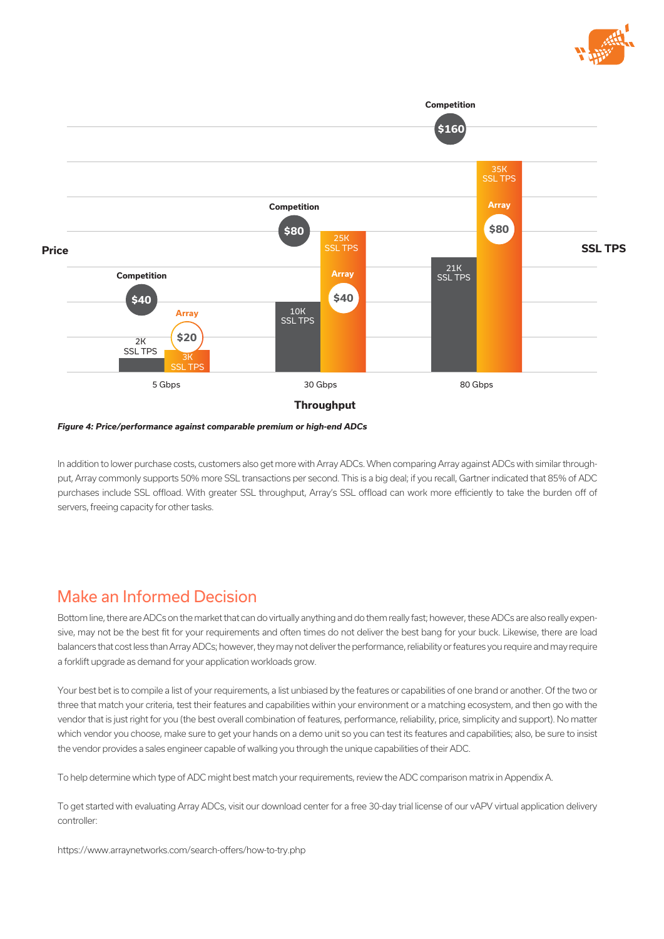



*Figure 4: Price/performance against comparable premium or high-end ADCs*

In addition to lower purchase costs, customers also get more with Array ADCs. When comparing Array against ADCs with similar throughput, Array commonly supports 50% more SSL transactions per second. This is a big deal; if you recall, Gartner indicated that 85% of ADC purchases include SSL offload. With greater SSL throughput, Array's SSL offload can work more efficiently to take the burden off of servers, freeing capacity for other tasks.

### Make an Informed Decision

Bottom line, there are ADCs on the market that can do virtually anything and do them really fast; however, these ADCs are also really expensive, may not be the best fit for your requirements and often times do not deliver the best bang for your buck. Likewise, there are load balancers that cost less than Array ADCs; however, they may not deliver the performance, reliability or features you require and may require a forklift upgrade as demand for your application workloads grow.

Your best bet is to compile a list of your requirements, a list unbiased by the features or capabilities of one brand or another. Of the two or three that match your criteria, test their features and capabilities within your environment or a matching ecosystem, and then go with the vendor that is just right for you (the best overall combination of features, performance, reliability, price, simplicity and support). No matter which vendor you choose, make sure to get your hands on a demo unit so you can test its features and capabilities; also, be sure to insist the vendor provides a sales engineer capable of walking you through the unique capabilities of their ADC.

To help determine which type of ADC might best match your requirements, review the ADC comparison matrix in Appendix A.

To get started with evaluating Array ADCs, visit our download center for a free 30-day trial license of our vAPV virtual application delivery controller:

https://www.arraynetworks.com/search-offers/how-to-try.php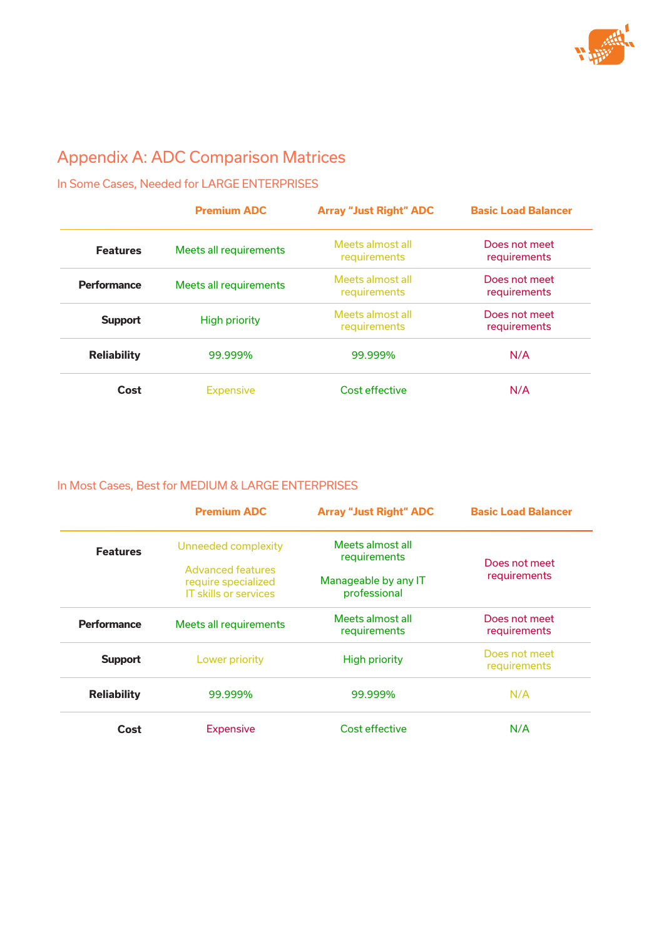

# Appendix A: ADC Comparison Matrices

In Some Cases, Needed for LARGE ENTERPRISES

|                    | <b>Premium ADC</b>     | <b>Array "Just Right" ADC</b>    | <b>Basic Load Balancer</b>    |
|--------------------|------------------------|----------------------------------|-------------------------------|
| <b>Features</b>    | Meets all requirements | Meets almost all<br>requirements | Does not meet<br>requirements |
| <b>Performance</b> | Meets all requirements | Meets almost all<br>requirements | Does not meet<br>requirements |
| <b>Support</b>     | <b>High priority</b>   | Meets almost all<br>requirements | Does not meet<br>requirements |
| <b>Reliability</b> | 99.999%                | 99.999%                          | N/A                           |
| Cost               | <b>Expensive</b>       | Cost effective                   | N/A                           |

### In Most Cases, Best for MEDIUM & LARGE ENTERPRISES

|                    | <b>Premium ADC</b>                                                       | <b>Array "Just Right" ADC</b>        | <b>Basic Load Balancer</b>    |
|--------------------|--------------------------------------------------------------------------|--------------------------------------|-------------------------------|
| <b>Features</b>    | Unneeded complexity                                                      | Meets almost all<br>requirements     | Does not meet                 |
|                    | Advanced features<br>require specialized<br><b>IT skills or services</b> | Manageable by any IT<br>professional | requirements                  |
| <b>Performance</b> | Meets all requirements                                                   | Meets almost all<br>requirements     | Does not meet<br>requirements |
| <b>Support</b>     | Lower priority                                                           | <b>High priority</b>                 | Does not meet<br>requirements |
| <b>Reliability</b> | 99.999%                                                                  | 99.999%                              | N/A                           |
| Cost               | <b>Expensive</b>                                                         | Cost effective                       | N/A                           |